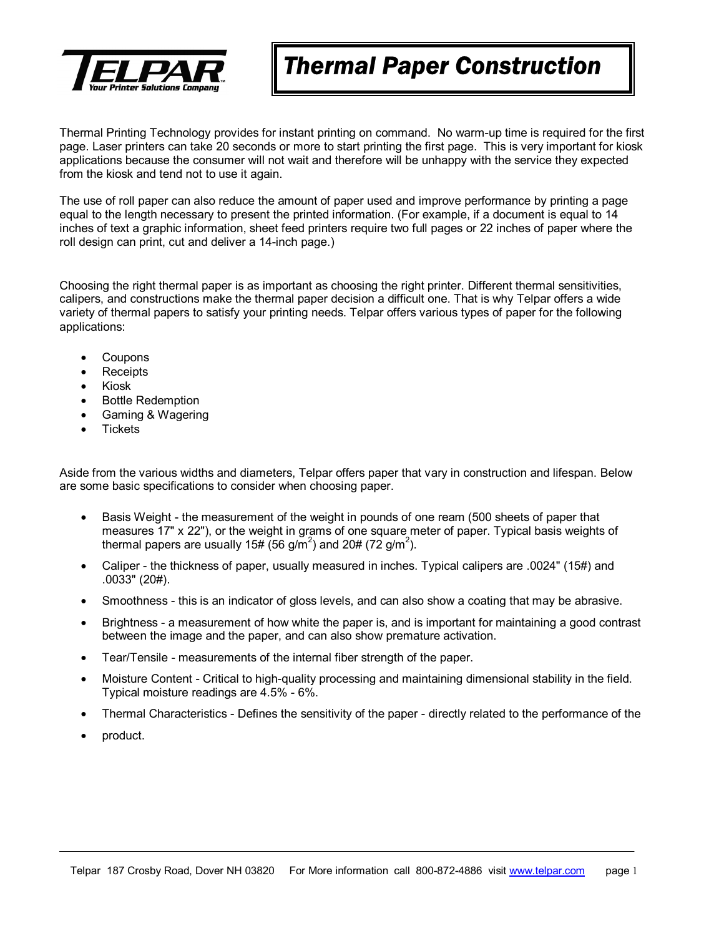

# *Thermal Paper Construction*

Thermal Printing Technology provides for instant printing on command. No warm-up time is required for the first page. Laser printers can take 20 seconds or more to start printing the first page. This is very important for kiosk applications because the consumer will not wait and therefore will be unhappy with the service they expected from the kiosk and tend not to use it again.

The use of roll paper can also reduce the amount of paper used and improve performance by printing a page equal to the length necessary to present the printed information. (For example, if a document is equal to 14 inches of text a graphic information, sheet feed printers require two full pages or 22 inches of paper where the roll design can print, cut and deliver a 14-inch page.)

Choosing the right thermal paper is as important as choosing the right printer. Different thermal sensitivities, calipers, and constructions make the thermal paper decision a difficult one. That is why Telpar offers a wide variety of thermal papers to satisfy your printing needs. Telpar offers various types of paper for the following applications:

- Coupons
- Receipts
- Kiosk
- **Bottle Redemption**
- Gaming & Wagering
- **Tickets**

Aside from the various widths and diameters, Telpar offers paper that vary in construction and lifespan. Below are some basic specifications to consider when choosing paper.

- Basis Weight the measurement of the weight in pounds of one ream (500 sheets of paper that measures 17" x 22"), or the weight in grams of one square meter of paper. Typical basis weights of thermal papers are usually 15# (56 g/m<sup>2</sup>) and 20# (72 g/m<sup>2</sup>).
- Caliper the thickness of paper, usually measured in inches. Typical calipers are .0024" (15#) and .0033" (20#).
- Smoothness this is an indicator of gloss levels, and can also show a coating that may be abrasive.
- Brightness a measurement of how white the paper is, and is important for maintaining a good contrast between the image and the paper, and can also show premature activation.
- Tear/Tensile measurements of the internal fiber strength of the paper.
- Moisture Content Critical to high-quality processing and maintaining dimensional stability in the field. Typical moisture readings are 4.5% - 6%.
- Thermal Characteristics Defines the sensitivity of the paper directly related to the performance of the
- product.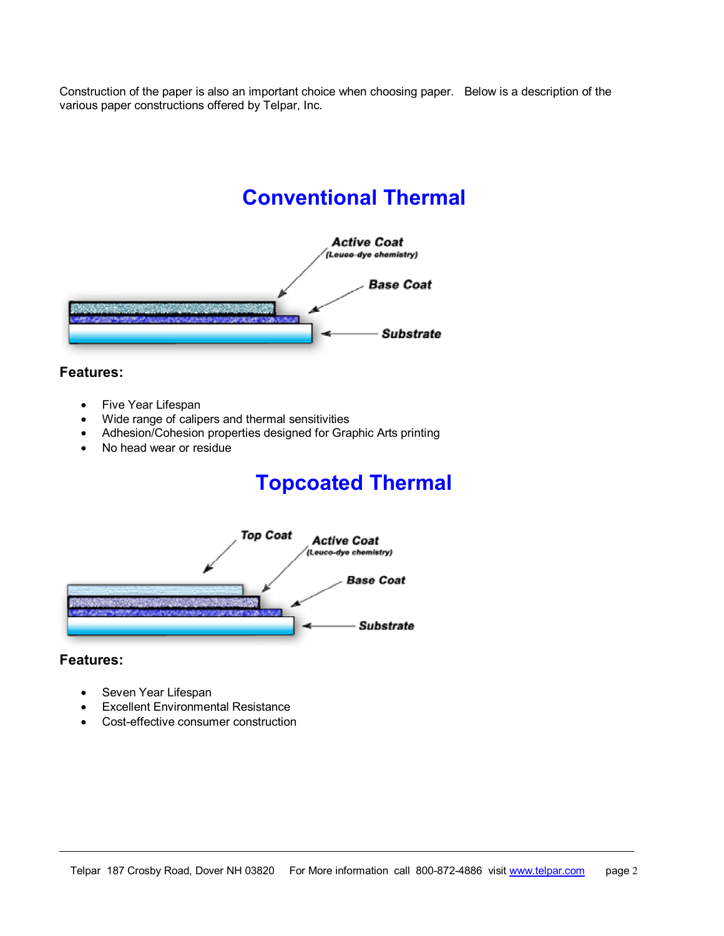Construction of the paper is also an important choice when choosing paper. Below is a description of the various paper constructions offered by Telpar, Inc.

# **Conventional Thermal**



### **Features:**

- Five Year Lifespan
- Wide range of calipers and thermal sensitivities
- Adhesion/Cohesion properties designed for Graphic Arts printing
- No head wear or residue

# **Topcoated Thermal**



#### **Features:**

- Seven Year Lifespan
- **Excellent Environmental Resistance**
- Cost-effective consumer construction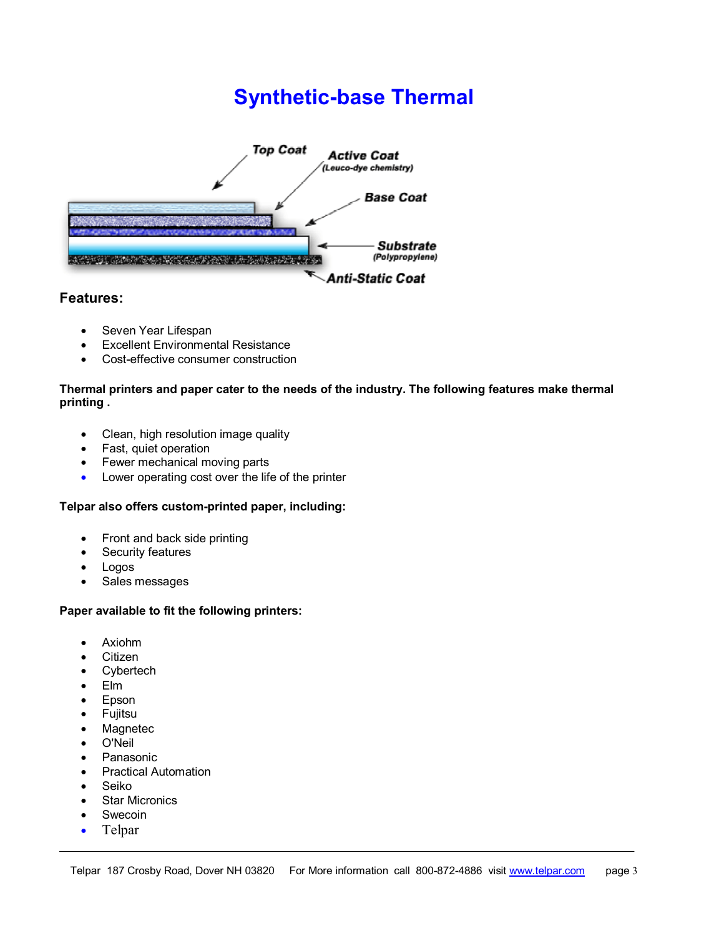# **Synthetic-base Thermal**



## **Features:**

- Seven Year Lifespan
- Excellent Environmental Resistance
- Cost-effective consumer construction

#### **Thermal printers and paper cater to the needs of the industry. The following features make thermal printing .**

- Clean, high resolution image quality
- Fast, quiet operation
- Fewer mechanical moving parts
- Lower operating cost over the life of the printer

## **Telpar also offers custom-printed paper, including:**

- Front and back side printing
- Security features
- Logos
- Sales messages

## **Paper available to fit the following printers:**

- Axiohm
- **Citizen**
- Cybertech
- Elm
- Epson
- **Fujitsu**
- **Magnetec**
- O'Neil
- **Panasonic**
- Practical Automation
- **Seiko**
- **Star Micronics**
- **Swecoin**
- Telpar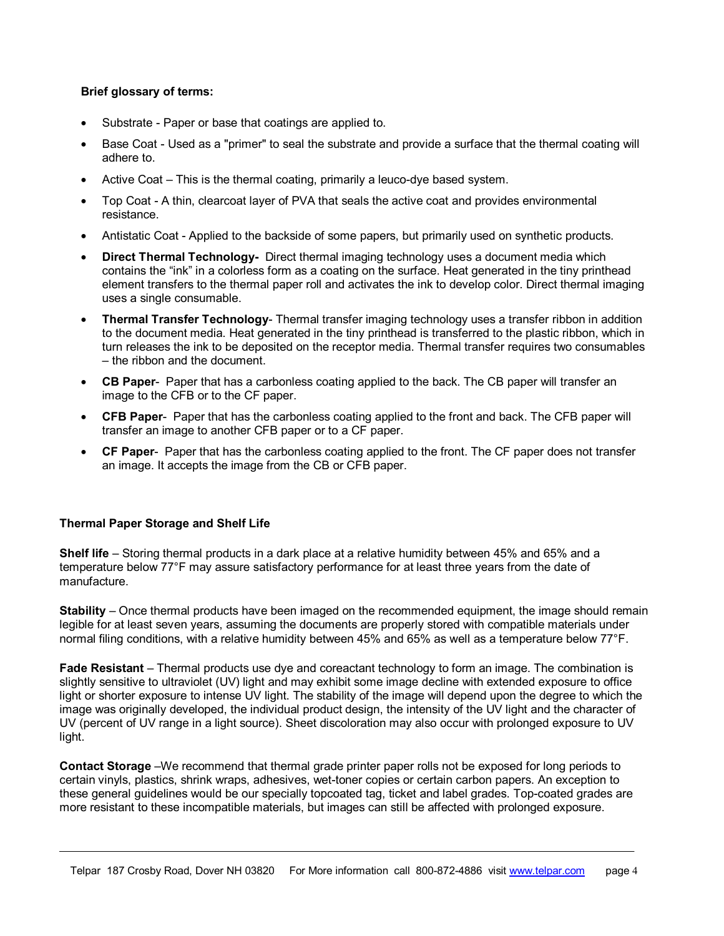### **Brief glossary of terms:**

- Substrate Paper or base that coatings are applied to.
- Base Coat Used as a "primer" to seal the substrate and provide a surface that the thermal coating will adhere to.
- Active Coat This is the thermal coating, primarily a leuco-dye based system.
- Top Coat A thin, clearcoat layer of PVA that seals the active coat and provides environmental resistance.
- Antistatic Coat Applied to the backside of some papers, but primarily used on synthetic products.
- **Direct Thermal Technology-** Direct thermal imaging technology uses a document media which contains the "ink" in a colorless form as a coating on the surface. Heat generated in the tiny printhead element transfers to the thermal paper roll and activates the ink to develop color. Direct thermal imaging uses a single consumable.
- **Thermal Transfer Technology** Thermal transfer imaging technology uses a transfer ribbon in addition to the document media. Heat generated in the tiny printhead is transferred to the plastic ribbon, which in turn releases the ink to be deposited on the receptor media. Thermal transfer requires two consumables – the ribbon and the document.
- **CB Paper** Paper that has a carbonless coating applied to the back. The CB paper will transfer an image to the CFB or to the CF paper.
- **CFB Paper** Paper that has the carbonless coating applied to the front and back. The CFB paper will transfer an image to another CFB paper or to a CF paper.
- **CF Paper** Paper that has the carbonless coating applied to the front. The CF paper does not transfer an image. It accepts the image from the CB or CFB paper.

#### **Thermal Paper Storage and Shelf Life**

**Shelf life** – Storing thermal products in a dark place at a relative humidity between 45% and 65% and a temperature below 77°F may assure satisfactory performance for at least three years from the date of manufacture.

**Stability** – Once thermal products have been imaged on the recommended equipment, the image should remain legible for at least seven years, assuming the documents are properly stored with compatible materials under normal filing conditions, with a relative humidity between 45% and 65% as well as a temperature below 77°F.

**Fade Resistant** – Thermal products use dye and coreactant technology to form an image. The combination is slightly sensitive to ultraviolet (UV) light and may exhibit some image decline with extended exposure to office light or shorter exposure to intense UV light. The stability of the image will depend upon the degree to which the image was originally developed, the individual product design, the intensity of the UV light and the character of UV (percent of UV range in a light source). Sheet discoloration may also occur with prolonged exposure to UV light.

**Contact Storage** –We recommend that thermal grade printer paper rolls not be exposed for long periods to certain vinyls, plastics, shrink wraps, adhesives, wet-toner copies or certain carbon papers. An exception to these general guidelines would be our specially topcoated tag, ticket and label grades. Top-coated grades are more resistant to these incompatible materials, but images can still be affected with prolonged exposure.